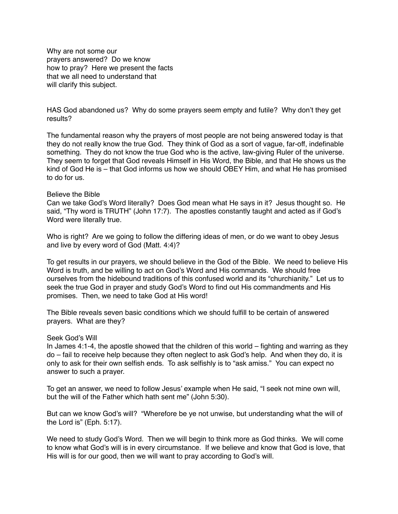Why are not some our prayers answered? Do we know how to pray? Here we present the facts that we all need to understand that will clarify this subject.

HAS God abandoned us? Why do some prayers seem empty and futile? Why don't they get results?

The fundamental reason why the prayers of most people are not being answered today is that they do not really know the true God. They think of God as a sort of vague, far-off, indefinable something. They do not know the true God who is the active, law-giving Ruler of the universe. They seem to forget that God reveals Himself in His Word, the Bible, and that He shows us the kind of God He is – that God informs us how we should OBEY Him, and what He has promised to do for us.

## Believe the Bible

Can we take God's Word literally? Does God mean what He says in it? Jesus thought so. He said, "Thy word is TRUTH" (John 17:7). The apostles constantly taught and acted as if God's Word were literally true.

Who is right? Are we going to follow the differing ideas of men, or do we want to obey Jesus and live by every word of God (Matt. 4:4)?

To get results in our prayers, we should believe in the God of the Bible. We need to believe His Word is truth, and be willing to act on God's Word and His commands. We should free ourselves from the hidebound traditions of this confused world and its "churchianity." Let us to seek the true God in prayer and study God's Word to find out His commandments and His promises. Then, we need to take God at His word!

The Bible reveals seven basic conditions which we should fulfill to be certain of answered prayers. What are they?

### Seek God's Will

In James 4:1-4, the apostle showed that the children of this world – fighting and warring as they do – fail to receive help because they often neglect to ask God's help. And when they do, it is only to ask for their own selfish ends. To ask selfishly is to "ask amiss." You can expect no answer to such a prayer.

To get an answer, we need to follow Jesus' example when He said, "I seek not mine own will, but the will of the Father which hath sent me" (John 5:30).

But can we know God's will? "Wherefore be ye not unwise, but understanding what the will of the Lord is" (Eph. 5:17).

We need to study God's Word. Then we will begin to think more as God thinks. We will come to know what God's will is in every circumstance. If we believe and know that God is love, that His will is for our good, then we will want to pray according to God's will.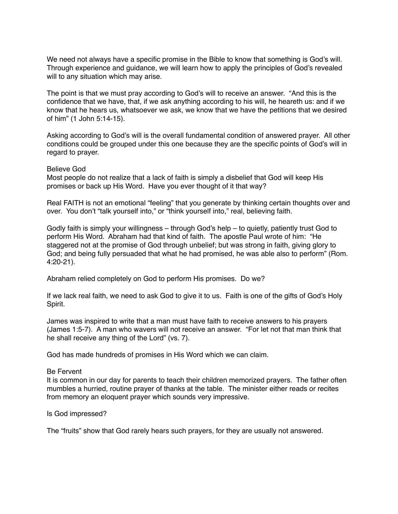We need not always have a specific promise in the Bible to know that something is God's will. Through experience and guidance, we will learn how to apply the principles of God's revealed will to any situation which may arise.

The point is that we must pray according to God's will to receive an answer. "And this is the confidence that we have, that, if we ask anything according to his will, he heareth us: and if we know that he hears us, whatsoever we ask, we know that we have the petitions that we desired of him" (1 John 5:14-15).

Asking according to God's will is the overall fundamental condition of answered prayer. All other conditions could be grouped under this one because they are the specific points of God's will in regard to prayer.

## Believe God

Most people do not realize that a lack of faith is simply a disbelief that God will keep His promises or back up His Word. Have you ever thought of it that way?

Real FAITH is not an emotional "feeling" that you generate by thinking certain thoughts over and over. You don't "talk yourself into," or "think yourself into," real, believing faith.

Godly faith is simply your willingness – through God's help – to quietly, patiently trust God to perform His Word. Abraham had that kind of faith. The apostle Paul wrote of him: "He staggered not at the promise of God through unbelief; but was strong in faith, giving glory to God; and being fully persuaded that what he had promised, he was able also to perform" (Rom. 4:20-21).

Abraham relied completely on God to perform His promises. Do we?

If we lack real faith, we need to ask God to give it to us. Faith is one of the gifts of God's Holy Spirit.

James was inspired to write that a man must have faith to receive answers to his prayers (James 1:5-7). A man who wavers will not receive an answer. "For let not that man think that he shall receive any thing of the Lord" (vs. 7).

God has made hundreds of promises in His Word which we can claim.

### Be Fervent

It is common in our day for parents to teach their children memorized prayers. The father often mumbles a hurried, routine prayer of thanks at the table. The minister either reads or recites from memory an eloquent prayer which sounds very impressive.

# Is God impressed?

The "fruits" show that God rarely hears such prayers, for they are usually not answered.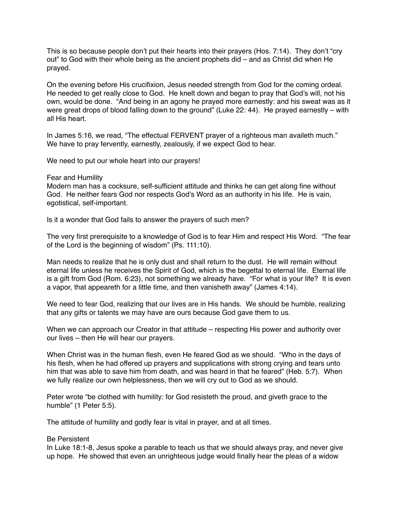This is so because people don't put their hearts into their prayers (Hos. 7:14). They don't "cry out" to God with their whole being as the ancient prophets did – and as Christ did when He prayed.

On the evening before His crucifixion, Jesus needed strength from God for the coming ordeal. He needed to get really close to God. He knelt down and began to pray that God's will, not his own, would be done. "And being in an agony he prayed more earnestly: and his sweat was as it were great drops of blood falling down to the ground" (Luke 22: 44). He prayed earnestly – with all His heart.

In James 5:16, we read, "The effectual FERVENT prayer of a righteous man availeth much." We have to pray fervently, earnestly, zealously, if we expect God to hear.

We need to put our whole heart into our prayers!

Fear and Humility

Modern man has a cocksure, self-sufficient attitude and thinks he can get along fine without God. He neither fears God nor respects God's Word as an authority in his life. He is vain, egotistical, self-important.

Is it a wonder that God fails to answer the prayers of such men?

The very first prerequisite to a knowledge of God is to fear Him and respect His Word. "The fear of the Lord is the beginning of wisdom" (Ps. 111:10).

Man needs to realize that he is only dust and shall return to the dust. He will remain without eternal life unless he receives the Spirit of God, which is the begettal to eternal life. Eternal life is a gift from God (Rom. 6:23), not something we already have. "For what is your life? It is even a vapor, that appeareth for a little time, and then vanisheth away" (James 4:14).

We need to fear God, realizing that our lives are in His hands. We should be humble, realizing that any gifts or talents we may have are ours because God gave them to us.

When we can approach our Creator in that attitude – respecting His power and authority over our lives – then He will hear our prayers.

When Christ was in the human flesh, even He feared God as we should. "Who in the days of his flesh, when he had offered up prayers and supplications with strong crying and tears unto him that was able to save him from death, and was heard in that he feared" (Heb. 5:7). When we fully realize our own helplessness, then we will cry out to God as we should.

Peter wrote "be clothed with humility: for God resisteth the proud, and giveth grace to the humble" (1 Peter 5:5).

The attitude of humility and godly fear is vital in prayer, and at all times.

# Be Persistent

In Luke 18:1-8, Jesus spoke a parable to teach us that we should always pray, and never give up hope. He showed that even an unrighteous judge would finally hear the pleas of a widow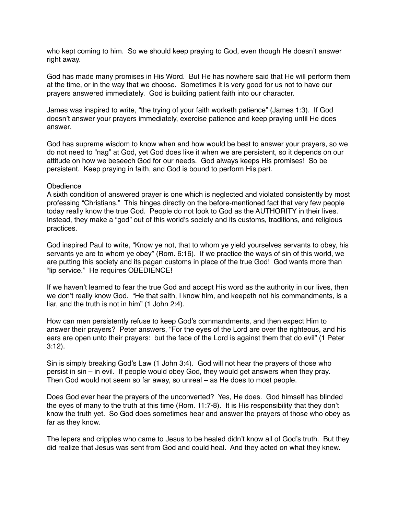who kept coming to him. So we should keep praying to God, even though He doesn't answer right away.

God has made many promises in His Word. But He has nowhere said that He will perform them at the time, or in the way that we choose. Sometimes it is very good for us not to have our prayers answered immediately. God is building patient faith into our character.

James was inspired to write, "the trying of your faith worketh patience" (James 1:3). If God doesn't answer your prayers immediately, exercise patience and keep praying until He does answer.

God has supreme wisdom to know when and how would be best to answer your prayers, so we do not need to "nag" at God, yet God does like it when we are persistent, so it depends on our attitude on how we beseech God for our needs. God always keeps His promises! So be persistent. Keep praying in faith, and God is bound to perform His part.

## **Obedience**

A sixth condition of answered prayer is one which is neglected and violated consistently by most professing "Christians." This hinges directly on the before-mentioned fact that very few people today really know the true God. People do not look to God as the AUTHORITY in their lives. Instead, they make a "god" out of this world's society and its customs, traditions, and religious practices.

God inspired Paul to write, "Know ye not, that to whom ye yield yourselves servants to obey, his servants ye are to whom ye obey" (Rom. 6:16). If we practice the ways of sin of this world, we are putting this society and its pagan customs in place of the true God! God wants more than "lip service." He requires OBEDIENCE!

If we haven't learned to fear the true God and accept His word as the authority in our lives, then we don't really know God. "He that saith, I know him, and keepeth not his commandments, is a liar, and the truth is not in him" (1 John 2:4).

How can men persistently refuse to keep God's commandments, and then expect Him to answer their prayers? Peter answers, "For the eyes of the Lord are over the righteous, and his ears are open unto their prayers: but the face of the Lord is against them that do evil" (1 Peter 3:12).

Sin is simply breaking God's Law (1 John 3:4). God will not hear the prayers of those who persist in sin – in evil. If people would obey God, they would get answers when they pray. Then God would not seem so far away, so unreal – as He does to most people.

Does God ever hear the prayers of the unconverted? Yes, He does. God himself has blinded the eyes of many to the truth at this time (Rom. 11:7-8). It is His responsibility that they don't know the truth yet. So God does sometimes hear and answer the prayers of those who obey as far as they know.

The lepers and cripples who came to Jesus to be healed didn't know all of God's truth. But they did realize that Jesus was sent from God and could heal. And they acted on what they knew.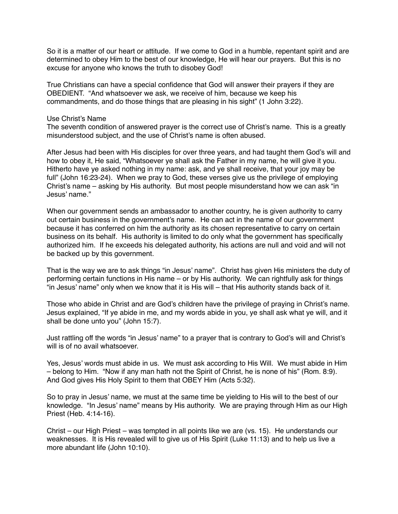So it is a matter of our heart or attitude. If we come to God in a humble, repentant spirit and are determined to obey Him to the best of our knowledge, He will hear our prayers. But this is no excuse for anyone who knows the truth to disobey God!

True Christians can have a special confidence that God will answer their prayers if they are OBEDIENT. "And whatsoever we ask, we receive of him, because we keep his commandments, and do those things that are pleasing in his sight" (1 John 3:22).

## Use Christ's Name

The seventh condition of answered prayer is the correct use of Christ's name. This is a greatly misunderstood subject, and the use of Christ's name is often abused.

After Jesus had been with His disciples for over three years, and had taught them God's will and how to obey it, He said, "Whatsoever ye shall ask the Father in my name, he will give it you. Hitherto have ye asked nothing in my name: ask, and ye shall receive, that your joy may be full" (John 16:23-24). When we pray to God, these verses give us the privilege of employing Christ's name – asking by His authority. But most people misunderstand how we can ask "in Jesus' name."

When our government sends an ambassador to another country, he is given authority to carry out certain business in the government's name. He can act in the name of our government because it has conferred on him the authority as its chosen representative to carry on certain business on its behalf. His authority is limited to do only what the government has specifically authorized him. If he exceeds his delegated authority, his actions are null and void and will not be backed up by this government.

That is the way we are to ask things "in Jesus' name". Christ has given His ministers the duty of performing certain functions in His name – or by His authority. We can rightfully ask for things "in Jesus' name" only when we know that it is His will – that His authority stands back of it.

Those who abide in Christ and are God's children have the privilege of praying in Christ's name. Jesus explained, "If ye abide in me, and my words abide in you, ye shall ask what ye will, and it shall be done unto you" (John 15:7).

Just rattling off the words "in Jesus' name" to a prayer that is contrary to God's will and Christ's will is of no avail whatsoever.

Yes, Jesus' words must abide in us. We must ask according to His Will. We must abide in Him – belong to Him. "Now if any man hath not the Spirit of Christ, he is none of his" (Rom. 8:9). And God gives His Holy Spirit to them that OBEY Him (Acts 5:32).

So to pray in Jesus' name, we must at the same time be yielding to His will to the best of our knowledge. "In Jesus' name" means by His authority. We are praying through Him as our High Priest (Heb. 4:14-16).

Christ – our High Priest – was tempted in all points like we are (vs. 15). He understands our weaknesses. It is His revealed will to give us of His Spirit (Luke 11:13) and to help us live a more abundant life (John 10:10).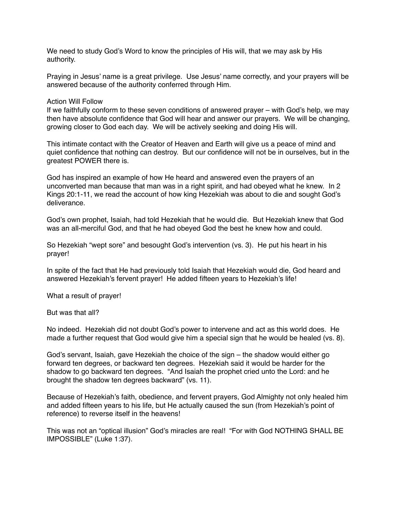We need to study God's Word to know the principles of His will, that we may ask by His authority.

Praying in Jesus' name is a great privilege. Use Jesus' name correctly, and your prayers will be answered because of the authority conferred through Him.

## Action Will Follow

If we faithfully conform to these seven conditions of answered prayer – with God's help, we may then have absolute confidence that God will hear and answer our prayers. We will be changing, growing closer to God each day. We will be actively seeking and doing His will.

This intimate contact with the Creator of Heaven and Earth will give us a peace of mind and quiet confidence that nothing can destroy. But our confidence will not be in ourselves, but in the greatest POWER there is.

God has inspired an example of how He heard and answered even the prayers of an unconverted man because that man was in a right spirit, and had obeyed what he knew. In 2 Kings 20:1-11, we read the account of how king Hezekiah was about to die and sought God's deliverance.

God's own prophet, Isaiah, had told Hezekiah that he would die. But Hezekiah knew that God was an all-merciful God, and that he had obeyed God the best he knew how and could.

So Hezekiah "wept sore" and besought God's intervention (vs. 3). He put his heart in his prayer!

In spite of the fact that He had previously told Isaiah that Hezekiah would die, God heard and answered Hezekiah's fervent prayer! He added fifteen years to Hezekiah's life!

What a result of prayer!

But was that all?

No indeed. Hezekiah did not doubt God's power to intervene and act as this world does. He made a further request that God would give him a special sign that he would be healed (vs. 8).

God's servant, Isaiah, gave Hezekiah the choice of the sign – the shadow would either go forward ten degrees, or backward ten degrees. Hezekiah said it would be harder for the shadow to go backward ten degrees. "And Isaiah the prophet cried unto the Lord: and he brought the shadow ten degrees backward" (vs. 11).

Because of Hezekiah's faith, obedience, and fervent prayers, God Almighty not only healed him and added fifteen years to his life, but He actually caused the sun (from Hezekiah's point of reference) to reverse itself in the heavens!

This was not an "optical illusion" God's miracles are real! "For with God NOTHING SHALL BE IMPOSSIBLE" (Luke 1:37).